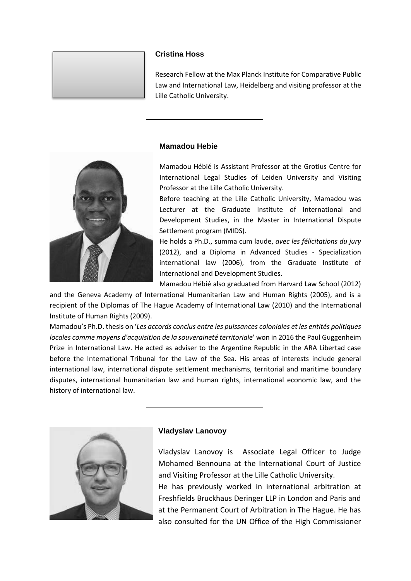# **Cristina Hoss**

Research Fellow at the Max Planck Institute for Comparative Public Law and International Law, Heidelberg and visiting professor at the Lille Catholic University.

## **Mamadou Hebie**



Mamadou Hébié is Assistant Professor at the Grotius Centre for International Legal Studies of Leiden University and Visiting Professor at the Lille Catholic University.

Before teaching at the Lille Catholic University, Mamadou was Lecturer at the Graduate Institute of International and Development Studies, in the Master in International Dispute Settlement program (MIDS).

He holds a Ph.D., summa cum laude, *avec les félicitations du jury* (2012), and a Diploma in Advanced Studies - Specialization international law (2006), from the Graduate Institute of International and Development Studies.

Mamadou Hébié also graduated from Harvard Law School (2012)

and the Geneva Academy of International Humanitarian Law and Human Rights (2005), and is a recipient of the Diplomas of The Hague Academy of International Law (2010) and the International Institute of Human Rights (2009).

Mamadou's Ph.D. thesis on '*Les accords conclus entre les puissances coloniales et les entités politiques locales comme moyens d'acquisition de la souveraineté territoriale*' won in 2016 the Paul Guggenheim Prize in International Law. He acted as adviser to the Argentine Republic in the ARA Libertad case before the International Tribunal for the Law of the Sea. His areas of interests include general international law, international dispute settlement mechanisms, territorial and maritime boundary disputes, international humanitarian law and human rights, international economic law, and the history of international law.



## **Vladyslav Lanovoy**

Vladyslav Lanovoy is Associate Legal Officer to Judge Mohamed Bennouna at the International Court of Justice and Visiting Professor at the Lille Catholic University.

He has previously worked in international arbitration at Freshfields Bruckhaus Deringer LLP in London and Paris and at the Permanent Court of Arbitration in The Hague. He has also consulted for the UN Office of the High Commissioner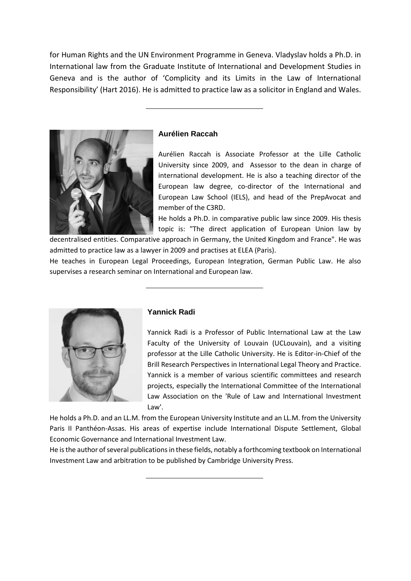for Human Rights and the UN Environment Programme in Geneva. Vladyslav holds a Ph.D. in International law from the Graduate Institute of International and Development Studies in Geneva and is the author of 'Complicity and its Limits in the Law of International Responsibility' (Hart 2016). He is admitted to practice law as a solicitor in England and Wales.



## **Aurélien Raccah**

Aurélien Raccah is Associate Professor at the Lille Catholic University since 2009, and Assessor to the dean in charge of international development. He is also a teaching director of the European law degree, co-director of the International and European Law School (IELS), and head of the PrepAvocat and member of the C3RD.

He holds a Ph.D. in comparative public law since 2009. His thesis topic is: "The direct application of European Union law by

decentralised entities. Comparative approach in Germany, the United Kingdom and France". He was admitted to practice law as a lawyer in 2009 and practises at ELEA (Paris).

He teaches in European Legal Proceedings, European Integration, German Public Law. He also supervises a research seminar on International and European law.



### **Yannick Radi**

Yannick Radi is a Professor of Public International Law at the Law Faculty of the University of Louvain (UCLouvain), and a visiting professor at the Lille Catholic University. He is Editor-in-Chief of the Brill Research Perspectives in International Legal Theory and Practice. Yannick is a member of various scientific committees and research projects, especially the International Committee of the International Law Association on the 'Rule of Law and International Investment Law'.

He holds a Ph.D. and an LL.M. from the European University Institute and an LL.M. from the University Paris II Panthéon-Assas. His areas of expertise include International Dispute Settlement, Global Economic Governance and International Investment Law.

He is the author of several publications in these fields, notably a forthcoming textbook on International Investment Law and arbitration to be published by Cambridge University Press.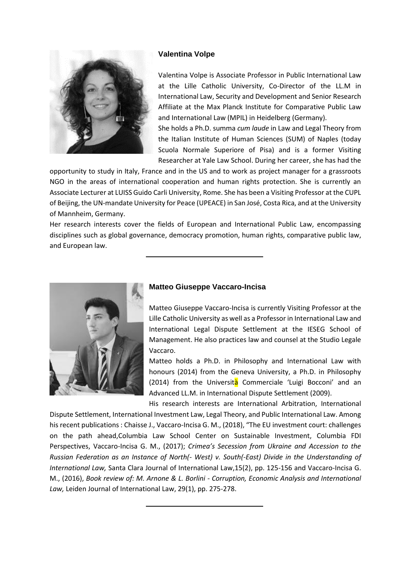

# **Valentina Volpe**

Valentina Volpe is Associate Professor in Public International Law at the Lille Catholic University, Co-Director of the LL.M in International Law, Security and Development and Senior Research Affiliate at the Max Planck Institute for Comparative Public Law and International Law (MPIL) in Heidelberg (Germany).

She holds a Ph.D. summa *cum laude* in Law and Legal Theory from the Italian Institute of Human Sciences (SUM) of Naples (today Scuola Normale Superiore of Pisa) and is a former Visiting Researcher at Yale Law School. During her career, she has had the

opportunity to study in Italy, France and in the US and to work as project manager for a grassroots NGO in the areas of international cooperation and human rights protection. She is currently an Associate Lecturer at LUISS Guido Carli University, Rome. She has been a Visiting Professor at the CUPL of Beijing, the UN-mandate University for Peace (UPEACE) in San José, Costa Rica, and at the University of Mannheim, Germany.

Her research interests cover the fields of European and International Public Law, encompassing disciplines such as global governance, democracy promotion, human rights, comparative public law, and European law.



# **Matteo Giuseppe Vaccaro-Incisa**

Matteo Giuseppe Vaccaro-Incisa is currently Visiting Professor at the Lille Catholic University as well as a Professor in International Law and International Legal Dispute Settlement at the IESEG School of Management. He also practices law and counsel at the Studio Legale Vaccaro.

Matteo holds a Ph.D. in Philosophy and International Law with honours (2014) from the Geneva University, a Ph.D. in Philosophy (2014) from the Università Commerciale 'Luigi Bocconi' and an Advanced LL.M. in International Dispute Settlement (2009).

His research interests are International Arbitration, International Dispute Settlement, International Investment Law, Legal Theory, and Public International Law. Among his recent publications : Chaisse J., Vaccaro-Incisa G. M., (2018), "The EU investment court: challenges on the path ahead,Columbia Law School Center on Sustainable Investment, Columbia FDI Perspectives, Vaccaro-Incisa G. M., (2017); *Crimea's Secession from Ukraine and Accession to the Russian Federation as an Instance of North(- West) v. South(-East) Divide in the Understanding of International Law,* Santa Clara Journal of International Law,15(2), pp. 125-156 and Vaccaro-Incisa G. M., (2016), *Book review of: M. Arnone & L. Borlini - Corruption, Economic Analysis and International Law,* Leiden Journal of International Law, 29(1), pp. 275-278.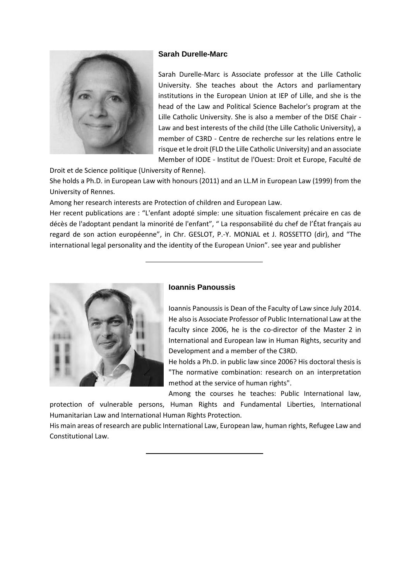## **Sarah Durelle-Marc**



Sarah Durelle-Marc is Associate professor at the Lille Catholic University. She teaches about the Actors and parliamentary institutions in the European Union at IEP of Lille, and she is the head of the Law and Political Science Bachelor's program at the Lille Catholic University. She is also a member of the DISE Chair - Law and best interests of the child (the Lille Catholic University), a member of C3RD - Centre de recherche sur les relations entre le risque et le droit (FLD the Lille Catholic University) and an associate Member of IODE - Institut de l'Ouest: Droit et Europe, Faculté de

Droit et de Science politique (University of Renne).

She holds a Ph.D. in European Law with honours (2011) and an LL.M in European Law (1999) from the University of Rennes.

Among her research interests are Protection of children and European Law.

Her recent publications are : "L'enfant adopté simple: une situation fiscalement précaire en cas de décès de l'adoptant pendant la minorité de l'enfant", " La responsabilité du chef de l'État français au regard de son action européenne", in Chr. GESLOT, P.-Y. MONJAL et J. ROSSETTO (dir), and "The international legal personality and the identity of the European Union". see year and publisher



# **Ioannis Panoussis**

Ioannis Panoussis is Dean of the Faculty of Law since July 2014. He also is Associate Professor of Public International Law at the faculty since 2006, he is the co-director of the Master 2 in International and European law in Human Rights, security and Development and a member of the C3RD.

He holds a Ph.D. in public law since 2006? His doctoral thesis is "The normative combination: research on an interpretation method at the service of human rights".

Among the courses he teaches: Public International law,

protection of vulnerable persons, Human Rights and Fundamental Liberties, International Humanitarian Law and International Human Rights Protection.

His main areas of research are public International Law, European law, human rights, Refugee Law and Constitutional Law.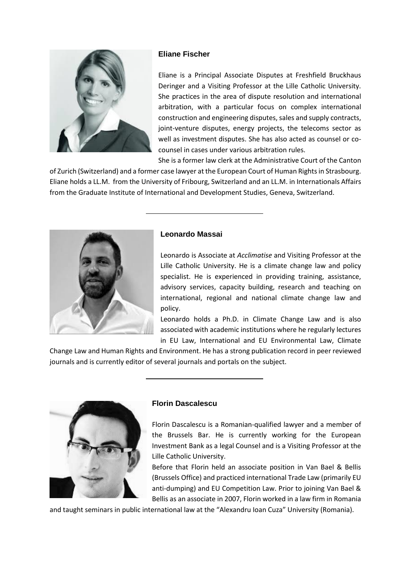

# **Eliane Fischer**

Eliane is a Principal Associate Disputes at Freshfield Bruckhaus Deringer and a Visiting Professor at the Lille Catholic University. She practices in the area of dispute resolution and international arbitration, with a particular focus on complex international construction and engineering disputes, sales and supply contracts, joint-venture disputes, energy projects, the telecoms sector as well as investment disputes. She has also acted as counsel or cocounsel in cases under various arbitration rules.

She is a former law clerk at the Administrative Court of the Canton

of Zurich (Switzerland) and a former case lawyer at the European Court of Human Rights in Strasbourg. Eliane holds a LL.M. from the University of Fribourg, Switzerland and an LL.M. in Internationals Affairs from the Graduate Institute of International and Development Studies, Geneva, Switzerland.



# **Leonardo Massai**

Leonardo is Associate at *Acclimatise* and Visiting Professor at the Lille Catholic University. He is a climate change law and policy specialist. He is experienced in providing training, assistance, advisory services, capacity building, research and teaching on international, regional and national climate change law and policy.

Leonardo holds a Ph.D. in Climate Change Law and is also associated with academic institutions where he regularly lectures in EU Law, International and EU Environmental Law, Climate

Change Law and Human Rights and Environment. He has a strong publication record in peer reviewed journals and is currently editor of several journals and portals on the subject.



## **Florin Dascalescu**

Florin Dascalescu is a Romanian-qualified lawyer and a member of the Brussels Bar. He is currently working for the European Investment Bank as a legal Counsel and is a Visiting Professor at the Lille Catholic University.

Before that Florin held an associate position in Van Bael & Bellis (Brussels Office) and practiced international Trade Law (primarily EU anti-dumping) and EU Competition Law. Prior to joining Van Bael & Bellis as an associate in 2007, Florin worked in a law firm in Romania

and taught seminars in public international law at the "Alexandru Ioan Cuza" University (Romania).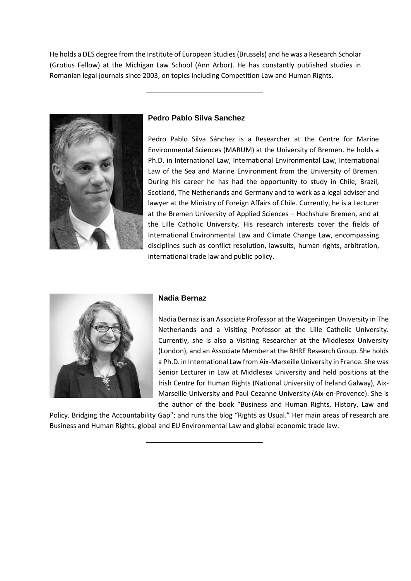He holds a DES degree from the Institute of European Studies (Brussels) and he was a Research Scholar (Grotius Fellow) at the Michigan Law School (Ann Arbor). He has constantly published studies in Romanian legal journals since 2003, on topics including Competition Law and Human Rights.



# **Pedro Pablo Silva Sanchez**

Pedro Pablo Silva Sánchez is a Researcher at the Centre for Marine Environmental Sciences (MARUM) at the University of Bremen. He holds a Ph.D. in International Law, International Environmental Law, International Law of the Sea and Marine Environment from the University of Bremen. During his career he has had the opportunity to study in Chile, Brazil, Scotland, The Netherlands and Germany and to work as a legal adviser and lawyer at the Ministry of Foreign Affairs of Chile. Currently, he is a Lecturer at the Bremen University of Applied Sciences – Hochshule Bremen, and at the Lille Catholic University. His research interests cover the fields of International Environmental Law and Climate Change Law, encompassing disciplines such as conflict resolution, lawsuits, human rights, arbitration, international trade law and public policy.



## **Nadia Bernaz**

Nadia Bernaz is an Associate Professor at the Wageningen University in The Netherlands and a Visiting Professor at the Lille Catholic University. Currently, she is also a Visiting Researcher at the Middlesex University (London), and an Associate Member at the BHRE Research Group. She holds a Ph.D. in International Law from Aix-Marseille University in France. She was Senior Lecturer in Law at Middlesex University and held positions at the Irish Centre for Human Rights (National University of Ireland Galway), Aix-Marseille University and Paul Cezanne University (Aix-en-Provence). She is the author of the book "Business and Human Rights, History, Law and

Policy. Bridging the Accountability Gap"; and runs the blog "Rights as Usual." Her main areas of research are Business and Human Rights, global and EU Environmental Law and global economic trade law.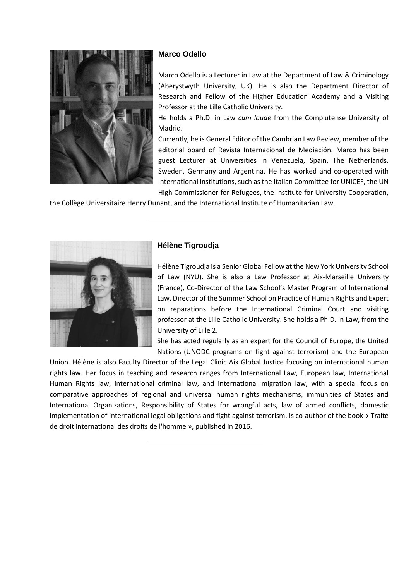

# **Marco Odello**

Marco Odello is a Lecturer in Law at the Department of Law & Criminology (Aberystwyth University, UK). He is also the Department Director of Research and Fellow of the Higher Education Academy and a Visiting Professor at the Lille Catholic University.

He holds a Ph.D. in Law *cum laude* from the Complutense University of Madrid.

Currently, he is General Editor of the Cambrian Law Review, member of the editorial board of Revista Internacional de Mediación. Marco has been guest Lecturer at Universities in Venezuela, Spain, The Netherlands, Sweden, Germany and Argentina. He has worked and co-operated with international institutions, such as the Italian Committee for UNICEF, the UN High Commissioner for Refugees, the Institute for University Cooperation,

the Collège Universitaire Henry Dunant, and the International Institute of Humanitarian Law.



# **Hélène Tigroudja**

Hélène Tigroudja is a Senior Global Fellow at the New York University School of Law (NYU). She is also a Law Professor at Aix-Marseille University (France), Co-Director of the Law School's Master Program of International Law, Director of the Summer School on Practice of Human Rights and Expert on reparations before the International Criminal Court and visiting professor at the Lille Catholic University. She holds a Ph.D. in Law, from the University of Lille 2.

She has acted regularly as an expert for the Council of Europe, the United Nations (UNODC programs on fight against terrorism) and the European

Union. Hélène is also Faculty Director of the Legal Clinic Aix Global Justice focusing on international human rights law. Her focus in teaching and research ranges from International Law, European law, International Human Rights law, international criminal law, and international migration law, with a special focus on comparative approaches of regional and universal human rights mechanisms, immunities of States and International Organizations, Responsibility of States for wrongful acts, law of armed conflicts, domestic implementation of international legal obligations and fight against terrorism. Is co-author of the book « Traité de droit international des droits de l'homme », published in 2016.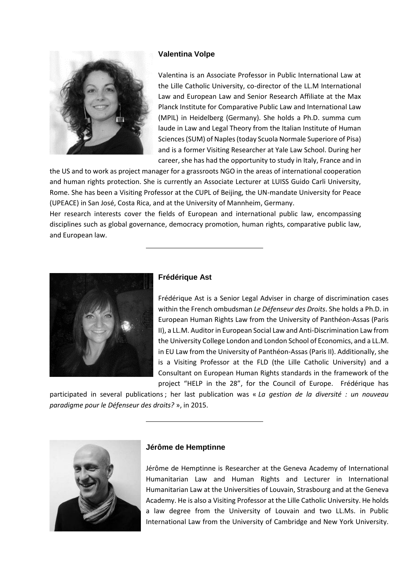

# **Valentina Volpe**

Valentina is an Associate Professor in Public International Law at the Lille Catholic University, co-director of the LL.M International Law and European Law and Senior Research Affiliate at the Max Planck Institute for Comparative Public Law and International Law (MPIL) in Heidelberg (Germany). She holds a Ph.D. summa cum laude in Law and Legal Theory from the Italian Institute of Human Sciences (SUM) of Naples (today Scuola Normale Superiore of Pisa) and is a former Visiting Researcher at Yale Law School. During her career, she has had the opportunity to study in Italy, France and in

the US and to work as project manager for a grassroots NGO in the areas of international cooperation and human rights protection. She is currently an Associate Lecturer at LUISS Guido Carli University, Rome. She has been a Visiting Professor at the CUPL of Beijing, the UN-mandate University for Peace (UPEACE) in San José, Costa Rica, and at the University of Mannheim, Germany.

Her research interests cover the fields of European and international public law, encompassing disciplines such as global governance, democracy promotion, human rights, comparative public law, and European law.



## **Frédérique Ast**

Frédérique Ast is a Senior Legal Adviser in charge of discrimination cases within the French ombudsman *Le Défenseur des Droits*. She holds a Ph.D. in European Human Rights Law from the University of Panthéon-Assas (Paris II), a LL.M. Auditor in European Social Law and Anti-Discrimination Law from the University College London and London School of Economics, and a LL.M. in EU Law from the University of Panthéon-Assas (Paris II). Additionally, she is a Visiting Professor at the FLD (the Lille Catholic University) and a Consultant on European Human Rights standards in the framework of the project "HELP in the 28", for the Council of Europe. Frédérique has

participated in several publications ; her last publication was « *La gestion de la diversité : un nouveau paradigme pour le Défenseur des droits?* », in 2015.



## **Jérôme de Hemptinne**

Jérôme de Hemptinne is Researcher at the Geneva Academy of International Humanitarian Law and Human Rights and Lecturer in International Humanitarian Law at the Universities of Louvain, Strasbourg and at the Geneva Academy. He is also a Visiting Professor at the Lille Catholic University. He holds a law degree from the University of Louvain and two LL.Ms. in Public International Law from the University of Cambridge and New York University.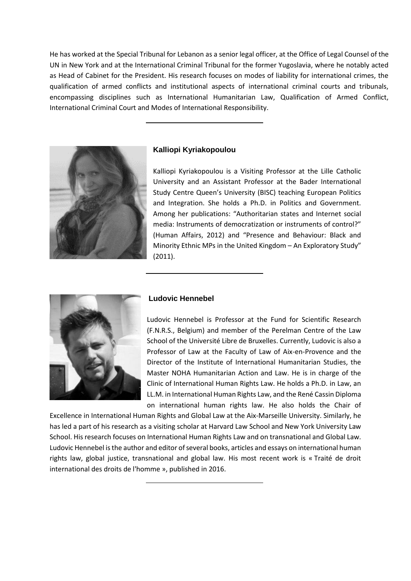He has worked at the Special Tribunal for Lebanon as a senior legal officer, at the Office of Legal Counsel of the UN in New York and at the International Criminal Tribunal for the former Yugoslavia, where he notably acted as Head of Cabinet for the President. His research focuses on modes of liability for international crimes, the qualification of armed conflicts and institutional aspects of international criminal courts and tribunals, encompassing disciplines such as International Humanitarian Law, Qualification of Armed Conflict, International Criminal Court and Modes of International Responsibility.



# **Kalliopi Kyriakopoulou**

Kalliopi Kyriakopoulou is a Visiting Professor at the Lille Catholic University and an Assistant Professor at the Bader International Study Centre Queen's University (BISC) teaching European Politics and Integration. She holds a Ph.D. in Politics and Government. Among her publications: "Authoritarian states and Internet social media: Instruments of democratization or instruments of control?" (Human Affairs, 2012) and "Presence and Behaviour: Black and Minority Ethnic MPs in the United Kingdom – An Exploratory Study" (2011).



## **Ludovic Hennebel**

Ludovic Hennebel is Professor at the Fund for Scientific Research (F.N.R.S., Belgium) and member of the Perelman Centre of the Law School of the Université Libre de Bruxelles. Currently, Ludovic is also a Professor of Law at the Faculty of Law of Aix-en-Provence and the Director of the Institute of International Humanitarian Studies, the Master NOHA Humanitarian Action and Law. He is in charge of the Clinic of International Human Rights Law. He holds a Ph.D. in Law, an LL.M. in International Human Rights Law, and the René Cassin Diploma on international human rights law. He also holds the Chair of

Excellence in International Human Rights and Global Law at the Aix-Marseille University. Similarly, he has led a part of his research as a visiting scholar at Harvard Law School and New York University Law School. His research focuses on International Human Rights Law and on transnational and Global Law. Ludovic Hennebel is the author and editor of several books, articles and essays on international human rights law, global justice, transnational and global law. His most recent work is « Traité de droit international des droits de l'homme », published in 2016.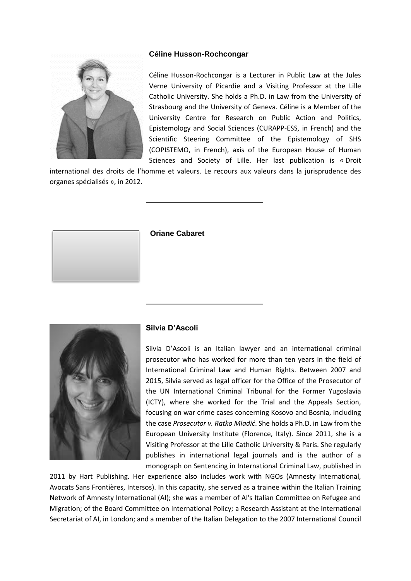

# **Céline Husson-Rochcongar**

Céline Husson-Rochcongar is a Lecturer in Public Law at the Jules Verne University of Picardie and a Visiting Professor at the Lille Catholic University. She holds a Ph.D. in Law from the University of Strasbourg and the University of Geneva. Céline is a Member of the University Centre for Research on Public Action and Politics, Epistemology and Social Sciences (CURAPP-ESS, in French) and the Scientific Steering Committee of the Epistemology of SHS (COPISTEMO, in French), axis of the European House of Human Sciences and Society of Lille. Her last publication is « Droit

international des droits de l'homme et valeurs. Le recours aux valeurs dans la jurisprudence des organes spécialisés », in 2012.



**Oriane Cabaret**



## **Silvia D'Ascoli**

Silvia D'Ascoli is an Italian lawyer and an international criminal prosecutor who has worked for more than ten years in the field of International Criminal Law and Human Rights. Between 2007 and 2015, Silvia served as legal officer for the Office of the Prosecutor of the UN International Criminal Tribunal for the Former Yugoslavia (ICTY), where she worked for the Trial and the Appeals Section, focusing on war crime cases concerning Kosovo and Bosnia, including the case *Prosecutor v. Ratko Mladić*. She holds a Ph.D. in Law from the European University Institute (Florence, Italy). Since 2011, she is a Visiting Professor at the Lille Catholic University & Paris. She regularly publishes in international legal journals and is the author of a monograph on Sentencing in International Criminal Law, published in

2011 by Hart Publishing. Her experience also includes work with NGOs (Amnesty International, Avocats Sans Frontières, Intersos). In this capacity, she served as a trainee within the Italian Training Network of Amnesty International (AI); she was a member of AI's Italian Committee on Refugee and Migration; of the Board Committee on International Policy; a Research Assistant at the International Secretariat of AI, in London; and a member of the Italian Delegation to the 2007 International Council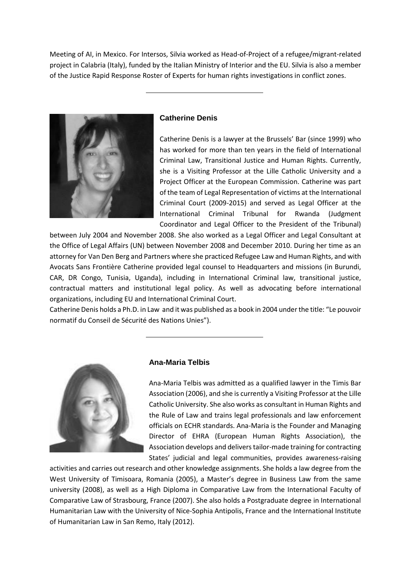Meeting of AI, in Mexico. For Intersos, Silvia worked as Head-of-Project of a refugee/migrant-related project in Calabria (Italy), funded by the Italian Ministry of Interior and the EU. Silvia is also a member of the Justice Rapid Response Roster of Experts for human rights investigations in conflict zones.



## **Catherine Denis**

Catherine Denis is a lawyer at the Brussels' Bar (since 1999) who has worked for more than ten years in the field of International Criminal Law, Transitional Justice and Human Rights. Currently, she is a Visiting Professor at the Lille Catholic University and a Project Officer at the European Commission. Catherine was part of the team of Legal Representation of victims at the International Criminal Court (2009-2015) and served as Legal Officer at the International Criminal Tribunal for Rwanda (Judgment Coordinator and Legal Officer to the President of the Tribunal)

between July 2004 and November 2008. She also worked as a Legal Officer and Legal Consultant at the Office of Legal Affairs (UN) between November 2008 and December 2010. During her time as an attorney for Van Den Berg and Partners where she practiced Refugee Law and Human Rights, and with Avocats Sans Frontière Catherine provided legal counsel to Headquarters and missions (in Burundi, CAR, DR Congo, Tunisia, Uganda), including in International Criminal law, transitional justice, contractual matters and institutional legal policy. As well as advocating before international organizations, including EU and International Criminal Court.

Catherine Denis holds a Ph.D. in Law and it was published as a book in 2004 under the title: "Le pouvoir normatif du Conseil de Sécurité des Nations Unies").



## **Ana-Maria Telbis**

Ana-Maria Telbis was admitted as a qualified lawyer in the Timis Bar Association (2006), and she is currently a Visiting Professor at the Lille Catholic University. She also works as consultant in Human Rights and the Rule of Law and trains legal professionals and law enforcement officials on ECHR standards. Ana-Maria is the Founder and Managing Director of EHRA (European Human Rights Association), the Association develops and delivers tailor-made training for contracting States' judicial and legal communities, provides awareness-raising

activities and carries out research and other knowledge assignments. She holds a law degree from the West University of Timisoara, Romania (2005), a Master's degree in Business Law from the same university (2008), as well as a High Diploma in Comparative Law from the International Faculty of Comparative Law of Strasbourg, France (2007). She also holds a Postgraduate degree in International Humanitarian Law with the University of Nice-Sophia Antipolis, France and the International Institute of Humanitarian Law in San Remo, Italy (2012).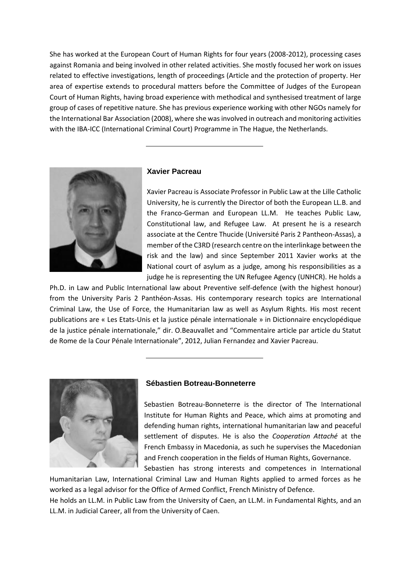She has worked at the European Court of Human Rights for four years (2008-2012), processing cases against Romania and being involved in other related activities. She mostly focused her work on issues related to effective investigations, length of proceedings (Article and the protection of property. Her area of expertise extends to procedural matters before the Committee of Judges of the European Court of Human Rights, having broad experience with methodical and synthesised treatment of large group of cases of repetitive nature. She has previous experience working with other NGOs namely for the International Bar Association (2008), where she was involved in outreach and monitoring activities with the IBA-ICC (International Criminal Court) Programme in The Hague, the Netherlands.



### **Xavier Pacreau**

Xavier Pacreau is Associate Professor in Public Law at the Lille Catholic University, he is currently the Director of both the European LL.B. and the Franco-German and European LL.M. He teaches Public Law, Constitutional law, and Refugee Law. At present he is a research associate at the Centre Thucide (Université Paris 2 Pantheon-Assas), a member of the C3RD (research centre on the interlinkage between the risk and the law) and since September 2011 Xavier works at the National court of asylum as a judge, among his responsibilities as a judge he is representing the UN Refugee Agency (UNHCR). He holds a

Ph.D. in Law and Public International law about Preventive self-defence (with the highest honour) from the University Paris 2 Panthéon-Assas. His contemporary research topics are International Criminal Law, the Use of Force, the Humanitarian law as well as Asylum Rights. His most recent publications are « Les Etats-Unis et la justice pénale internationale » in Dictionnaire encyclopédique de la justice pénale internationale," dir. O.Beauvallet and "Commentaire article par article du Statut de Rome de la Cour Pénale Internationale", 2012, Julian Fernandez and Xavier Pacreau.



#### **Sébastien Botreau-Bonneterre**

Sebastien Botreau-Bonneterre is the director of The International Institute for Human Rights and Peace, which aims at promoting and defending human rights, international humanitarian law and peaceful settlement of disputes. He is also the *Cooperation Attaché* at the French Embassy in Macedonia, as such he supervises the Macedonian and French cooperation in the fields of Human Rights, Governance.

Sebastien has strong interests and competences in International Humanitarian Law, International Criminal Law and Human Rights applied to armed forces as he worked as a legal advisor for the Office of Armed Conflict, French Ministry of Defence.

He holds an LL.M. in Public Law from the University of Caen, an LL.M. in Fundamental Rights, and an LL.M. in Judicial Career, all from the University of Caen.